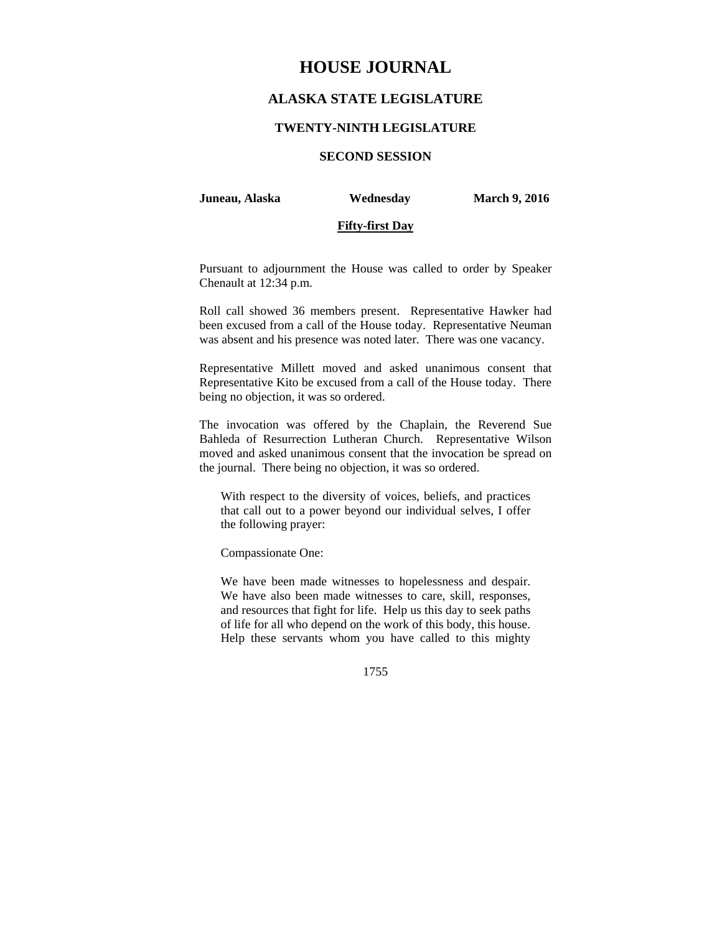# **HOUSE JOURNAL**

# **ALASKA STATE LEGISLATURE**

### **TWENTY-NINTH LEGISLATURE**

# **SECOND SESSION**

#### **Juneau, Alaska Wednesday March 9, 2016**

### **Fifty-first Day**

Pursuant to adjournment the House was called to order by Speaker Chenault at 12:34 p.m.

Roll call showed 36 members present. Representative Hawker had been excused from a call of the House today. Representative Neuman was absent and his presence was noted later. There was one vacancy.

Representative Millett moved and asked unanimous consent that Representative Kito be excused from a call of the House today. There being no objection, it was so ordered.

The invocation was offered by the Chaplain, the Reverend Sue Bahleda of Resurrection Lutheran Church. Representative Wilson moved and asked unanimous consent that the invocation be spread on the journal. There being no objection, it was so ordered.

With respect to the diversity of voices, beliefs, and practices that call out to a power beyond our individual selves, I offer the following prayer:

Compassionate One:

We have been made witnesses to hopelessness and despair. We have also been made witnesses to care, skill, responses, and resources that fight for life. Help us this day to seek paths of life for all who depend on the work of this body, this house. Help these servants whom you have called to this mighty

1755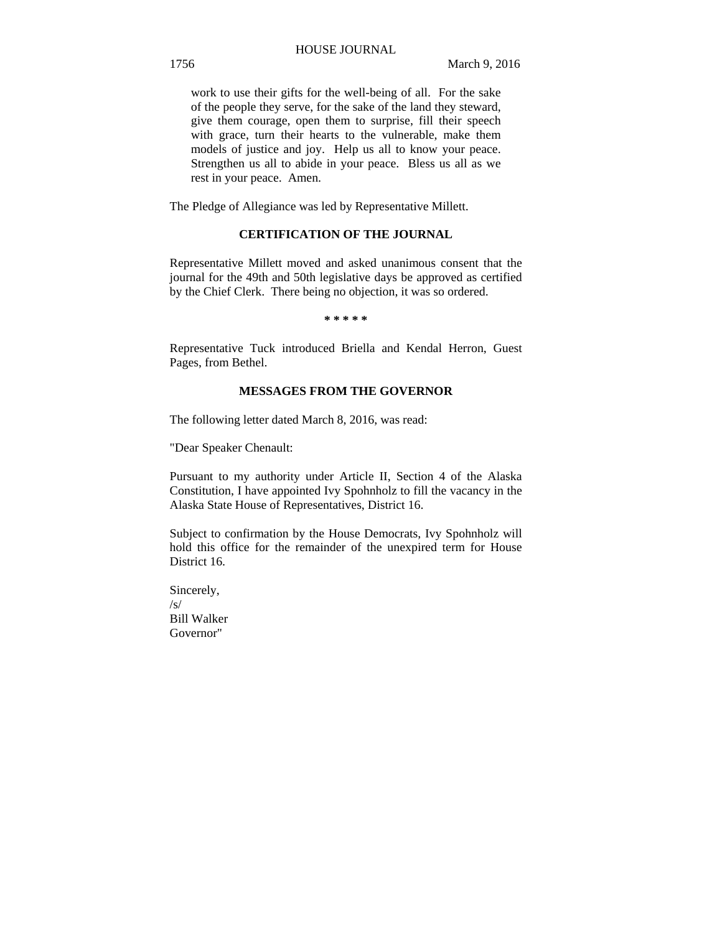work to use their gifts for the well-being of all. For the sake of the people they serve, for the sake of the land they steward, give them courage, open them to surprise, fill their speech with grace, turn their hearts to the vulnerable, make them models of justice and joy. Help us all to know your peace. Strengthen us all to abide in your peace. Bless us all as we rest in your peace. Amen.

The Pledge of Allegiance was led by Representative Millett.

# **CERTIFICATION OF THE JOURNAL**

Representative Millett moved and asked unanimous consent that the journal for the 49th and 50th legislative days be approved as certified by the Chief Clerk. There being no objection, it was so ordered.

**\* \* \* \* \*** 

Representative Tuck introduced Briella and Kendal Herron, Guest Pages, from Bethel.

# **MESSAGES FROM THE GOVERNOR**

The following letter dated March 8, 2016, was read:

"Dear Speaker Chenault:

Pursuant to my authority under Article II, Section 4 of the Alaska Constitution, I have appointed Ivy Spohnholz to fill the vacancy in the Alaska State House of Representatives, District 16.

Subject to confirmation by the House Democrats, Ivy Spohnholz will hold this office for the remainder of the unexpired term for House District 16.

Sincerely, /s/ Bill Walker Governor"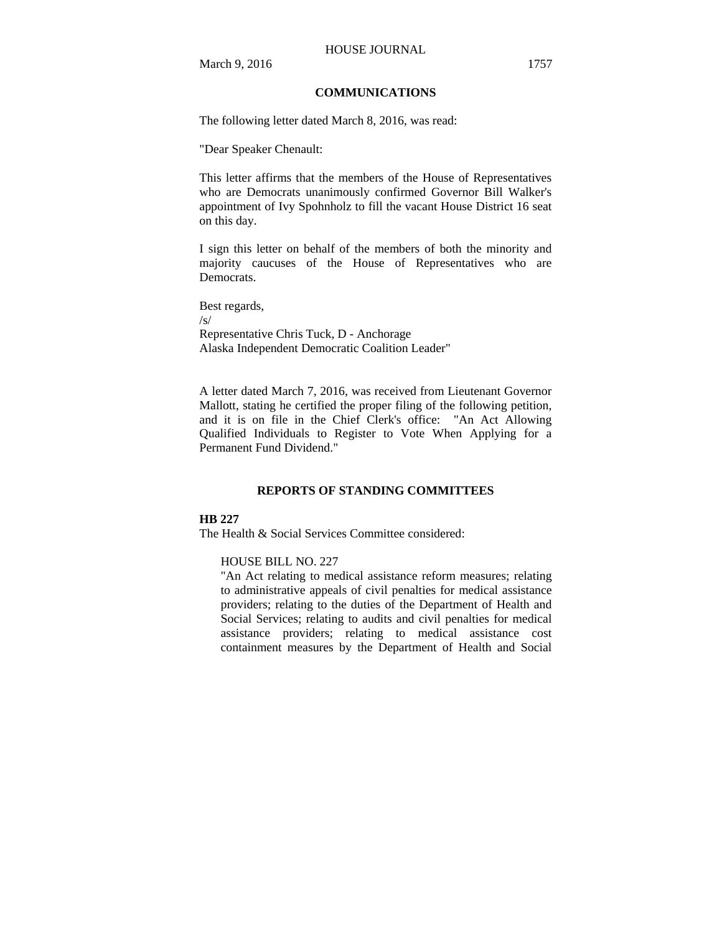# **COMMUNICATIONS**

The following letter dated March 8, 2016, was read:

"Dear Speaker Chenault:

This letter affirms that the members of the House of Representatives who are Democrats unanimously confirmed Governor Bill Walker's appointment of Ivy Spohnholz to fill the vacant House District 16 seat on this day.

I sign this letter on behalf of the members of both the minority and majority caucuses of the House of Representatives who are Democrats.

Best regards, /s/ Representative Chris Tuck, D - Anchorage Alaska Independent Democratic Coalition Leader"

A letter dated March 7, 2016, was received from Lieutenant Governor Mallott, stating he certified the proper filing of the following petition, and it is on file in the Chief Clerk's office: "An Act Allowing Qualified Individuals to Register to Vote When Applying for a Permanent Fund Dividend."

### **REPORTS OF STANDING COMMITTEES**

#### **HB 227**

The Health & Social Services Committee considered:

#### HOUSE BILL NO. 227

"An Act relating to medical assistance reform measures; relating to administrative appeals of civil penalties for medical assistance providers; relating to the duties of the Department of Health and Social Services; relating to audits and civil penalties for medical assistance providers; relating to medical assistance cost containment measures by the Department of Health and Social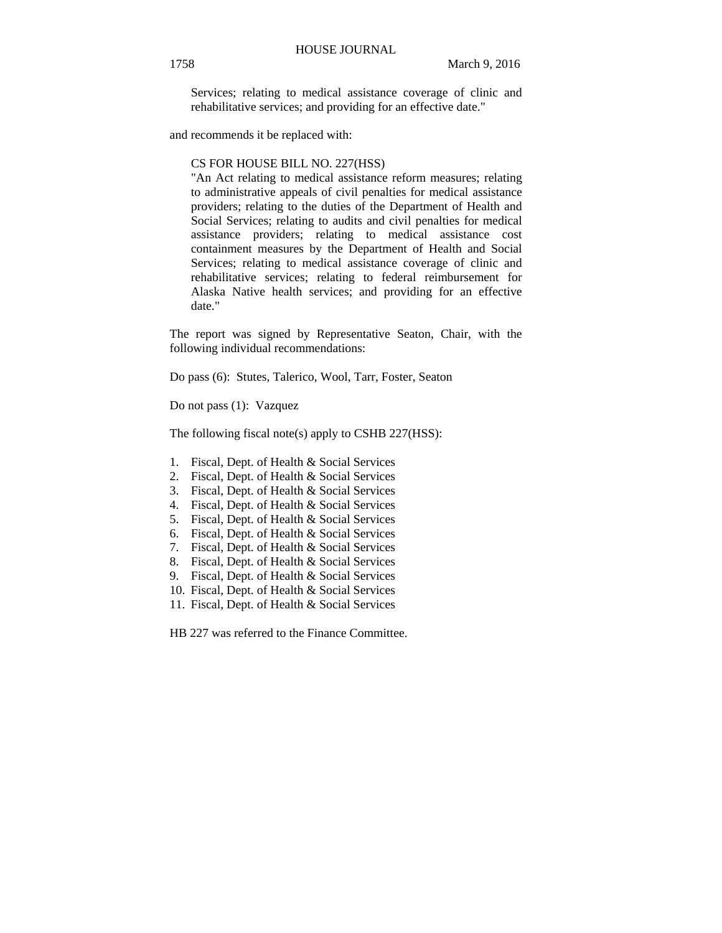Services; relating to medical assistance coverage of clinic and rehabilitative services; and providing for an effective date."

and recommends it be replaced with:

#### CS FOR HOUSE BILL NO. 227(HSS)

"An Act relating to medical assistance reform measures; relating to administrative appeals of civil penalties for medical assistance providers; relating to the duties of the Department of Health and Social Services; relating to audits and civil penalties for medical assistance providers; relating to medical assistance cost containment measures by the Department of Health and Social Services; relating to medical assistance coverage of clinic and rehabilitative services; relating to federal reimbursement for Alaska Native health services; and providing for an effective date."

The report was signed by Representative Seaton, Chair, with the following individual recommendations:

Do pass (6): Stutes, Talerico, Wool, Tarr, Foster, Seaton

Do not pass (1): Vazquez

The following fiscal note(s) apply to CSHB 227(HSS):

- 1. Fiscal, Dept. of Health & Social Services
- 2. Fiscal, Dept. of Health & Social Services
- 3. Fiscal, Dept. of Health & Social Services
- 4. Fiscal, Dept. of Health & Social Services
- 5. Fiscal, Dept. of Health & Social Services
- 6. Fiscal, Dept. of Health & Social Services
- 7. Fiscal, Dept. of Health & Social Services
- 8. Fiscal, Dept. of Health & Social Services
- 9. Fiscal, Dept. of Health & Social Services
- 10. Fiscal, Dept. of Health & Social Services
- 11. Fiscal, Dept. of Health & Social Services

HB 227 was referred to the Finance Committee.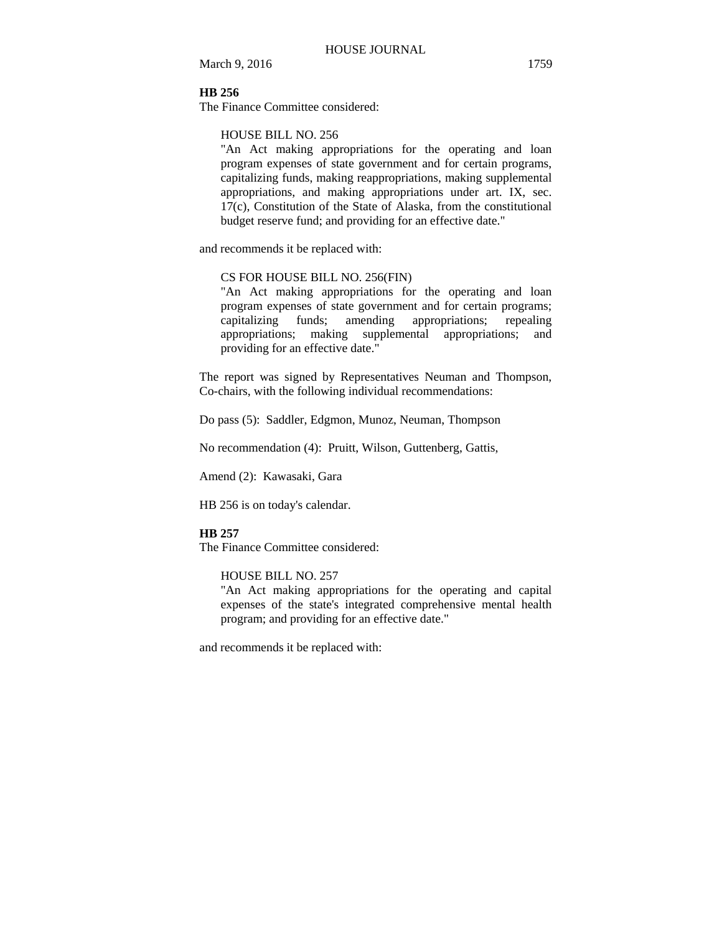March 9, 2016 1759

# **HB 256**

The Finance Committee considered:

### HOUSE BILL NO. 256

"An Act making appropriations for the operating and loan program expenses of state government and for certain programs, capitalizing funds, making reappropriations, making supplemental appropriations, and making appropriations under art. IX, sec. 17(c), Constitution of the State of Alaska, from the constitutional budget reserve fund; and providing for an effective date."

and recommends it be replaced with:

### CS FOR HOUSE BILL NO. 256(FIN)

"An Act making appropriations for the operating and loan program expenses of state government and for certain programs; capitalizing funds; amending appropriations; repealing appropriations; making supplemental appropriations; and providing for an effective date."

The report was signed by Representatives Neuman and Thompson, Co-chairs, with the following individual recommendations:

Do pass (5): Saddler, Edgmon, Munoz, Neuman, Thompson

No recommendation (4): Pruitt, Wilson, Guttenberg, Gattis,

Amend (2): Kawasaki, Gara

HB 256 is on today's calendar.

### **HB 257**

The Finance Committee considered:

### HOUSE BILL NO. 257

"An Act making appropriations for the operating and capital expenses of the state's integrated comprehensive mental health program; and providing for an effective date."

and recommends it be replaced with: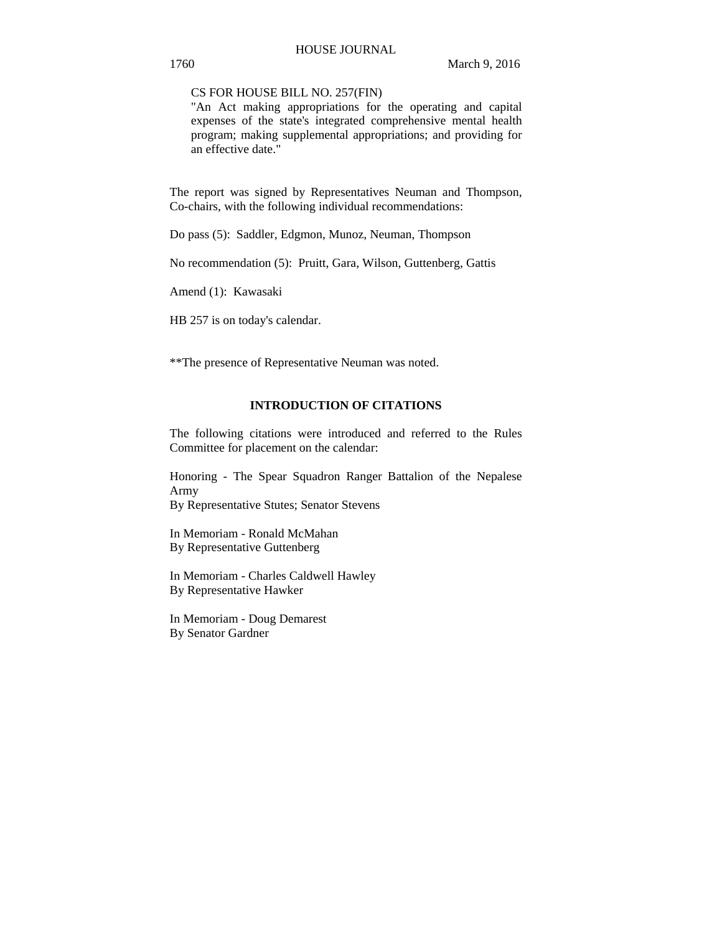### CS FOR HOUSE BILL NO. 257(FIN)

"An Act making appropriations for the operating and capital expenses of the state's integrated comprehensive mental health program; making supplemental appropriations; and providing for an effective date."

The report was signed by Representatives Neuman and Thompson, Co-chairs, with the following individual recommendations:

Do pass (5): Saddler, Edgmon, Munoz, Neuman, Thompson

No recommendation (5): Pruitt, Gara, Wilson, Guttenberg, Gattis

Amend (1): Kawasaki

HB 257 is on today's calendar.

\*\*The presence of Representative Neuman was noted.

# **INTRODUCTION OF CITATIONS**

The following citations were introduced and referred to the Rules Committee for placement on the calendar:

Honoring - The Spear Squadron Ranger Battalion of the Nepalese Army

By Representative Stutes; Senator Stevens

In Memoriam - Ronald McMahan By Representative Guttenberg

In Memoriam - Charles Caldwell Hawley By Representative Hawker

In Memoriam - Doug Demarest By Senator Gardner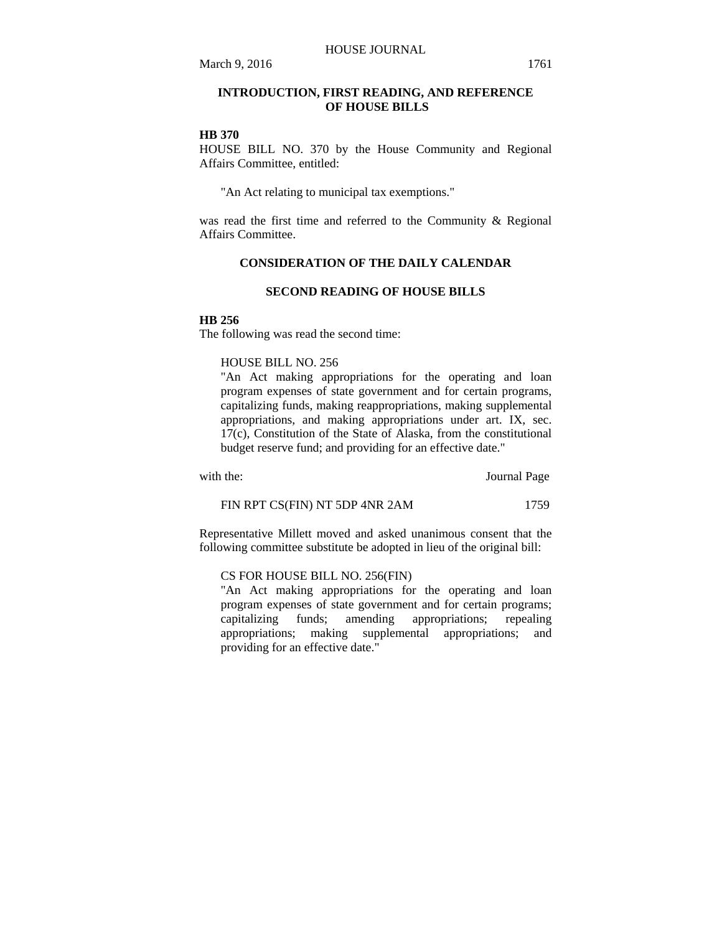# **INTRODUCTION, FIRST READING, AND REFERENCE OF HOUSE BILLS**

### **HB 370**

HOUSE BILL NO. 370 by the House Community and Regional Affairs Committee, entitled:

"An Act relating to municipal tax exemptions."

was read the first time and referred to the Community & Regional Affairs Committee.

# **CONSIDERATION OF THE DAILY CALENDAR**

# **SECOND READING OF HOUSE BILLS**

### **HB 256**

The following was read the second time:

# HOUSE BILL NO. 256

"An Act making appropriations for the operating and loan program expenses of state government and for certain programs, capitalizing funds, making reappropriations, making supplemental appropriations, and making appropriations under art. IX, sec. 17(c), Constitution of the State of Alaska, from the constitutional budget reserve fund; and providing for an effective date."

with the: **Journal Page** 

FIN RPT CS(FIN) NT 5DP 4NR 2AM 1759

Representative Millett moved and asked unanimous consent that the following committee substitute be adopted in lieu of the original bill:

### CS FOR HOUSE BILL NO. 256(FIN)

"An Act making appropriations for the operating and loan program expenses of state government and for certain programs; capitalizing funds; amending appropriations; repealing appropriations; making supplemental appropriations; and providing for an effective date."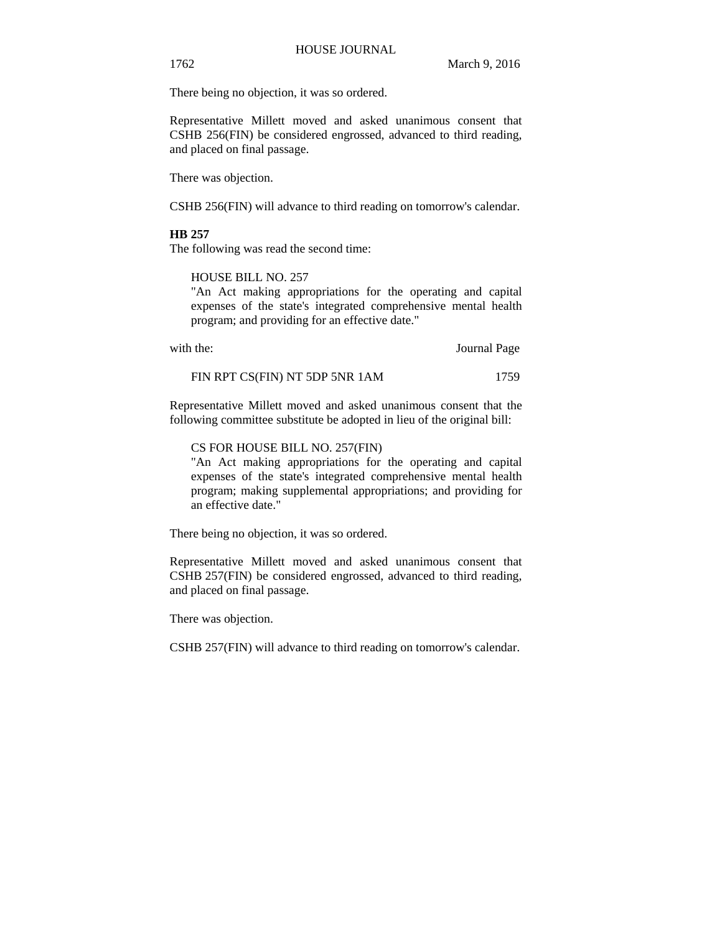1762 March 9, 2016

There being no objection, it was so ordered.

Representative Millett moved and asked unanimous consent that CSHB 256(FIN) be considered engrossed, advanced to third reading, and placed on final passage.

There was objection.

CSHB 256(FIN) will advance to third reading on tomorrow's calendar.

# **HB 257**

The following was read the second time:

HOUSE BILL NO. 257

"An Act making appropriations for the operating and capital expenses of the state's integrated comprehensive mental health program; and providing for an effective date."

| with the: | Journal Page |
|-----------|--------------|
|           |              |

| FIN RPT CS(FIN) NT 5DP 5NR 1AM | 1759 |
|--------------------------------|------|
|--------------------------------|------|

Representative Millett moved and asked unanimous consent that the following committee substitute be adopted in lieu of the original bill:

### CS FOR HOUSE BILL NO. 257(FIN)

"An Act making appropriations for the operating and capital expenses of the state's integrated comprehensive mental health program; making supplemental appropriations; and providing for an effective date."

There being no objection, it was so ordered.

Representative Millett moved and asked unanimous consent that CSHB 257(FIN) be considered engrossed, advanced to third reading, and placed on final passage.

There was objection.

CSHB 257(FIN) will advance to third reading on tomorrow's calendar.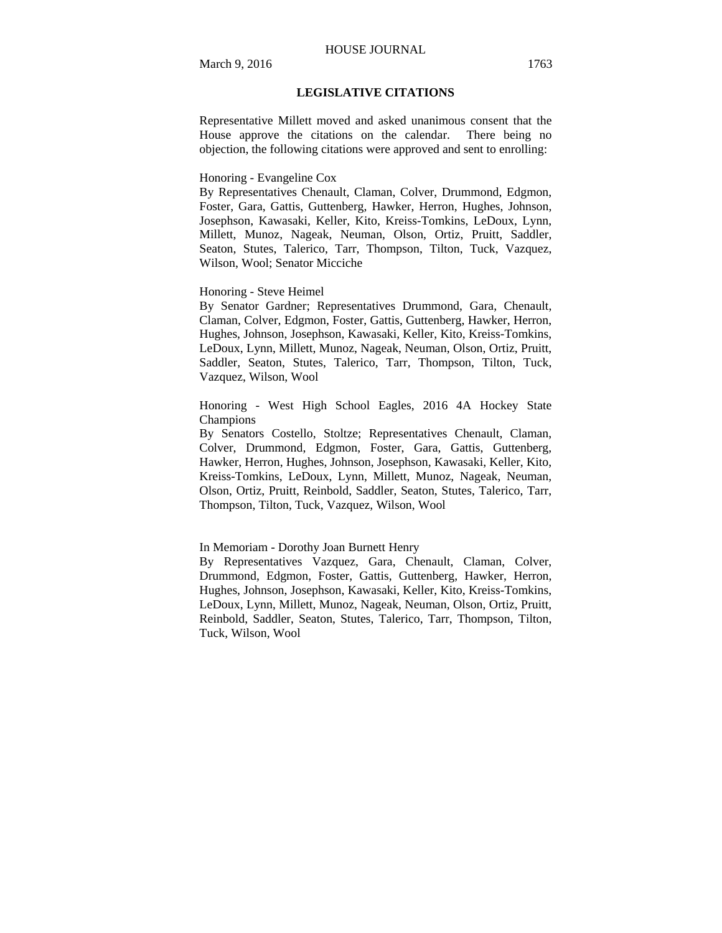### HOUSE JOURNAL

# **LEGISLATIVE CITATIONS**

Representative Millett moved and asked unanimous consent that the House approve the citations on the calendar. There being no objection, the following citations were approved and sent to enrolling:

#### Honoring - Evangeline Cox

By Representatives Chenault, Claman, Colver, Drummond, Edgmon, Foster, Gara, Gattis, Guttenberg, Hawker, Herron, Hughes, Johnson, Josephson, Kawasaki, Keller, Kito, Kreiss-Tomkins, LeDoux, Lynn, Millett, Munoz, Nageak, Neuman, Olson, Ortiz, Pruitt, Saddler, Seaton, Stutes, Talerico, Tarr, Thompson, Tilton, Tuck, Vazquez, Wilson, Wool; Senator Micciche

### Honoring - Steve Heimel

By Senator Gardner; Representatives Drummond, Gara, Chenault, Claman, Colver, Edgmon, Foster, Gattis, Guttenberg, Hawker, Herron, Hughes, Johnson, Josephson, Kawasaki, Keller, Kito, Kreiss-Tomkins, LeDoux, Lynn, Millett, Munoz, Nageak, Neuman, Olson, Ortiz, Pruitt, Saddler, Seaton, Stutes, Talerico, Tarr, Thompson, Tilton, Tuck, Vazquez, Wilson, Wool

Honoring - West High School Eagles, 2016 4A Hockey State Champions

By Senators Costello, Stoltze; Representatives Chenault, Claman, Colver, Drummond, Edgmon, Foster, Gara, Gattis, Guttenberg, Hawker, Herron, Hughes, Johnson, Josephson, Kawasaki, Keller, Kito, Kreiss-Tomkins, LeDoux, Lynn, Millett, Munoz, Nageak, Neuman, Olson, Ortiz, Pruitt, Reinbold, Saddler, Seaton, Stutes, Talerico, Tarr, Thompson, Tilton, Tuck, Vazquez, Wilson, Wool

### In Memoriam - Dorothy Joan Burnett Henry

By Representatives Vazquez, Gara, Chenault, Claman, Colver, Drummond, Edgmon, Foster, Gattis, Guttenberg, Hawker, Herron, Hughes, Johnson, Josephson, Kawasaki, Keller, Kito, Kreiss-Tomkins, LeDoux, Lynn, Millett, Munoz, Nageak, Neuman, Olson, Ortiz, Pruitt, Reinbold, Saddler, Seaton, Stutes, Talerico, Tarr, Thompson, Tilton, Tuck, Wilson, Wool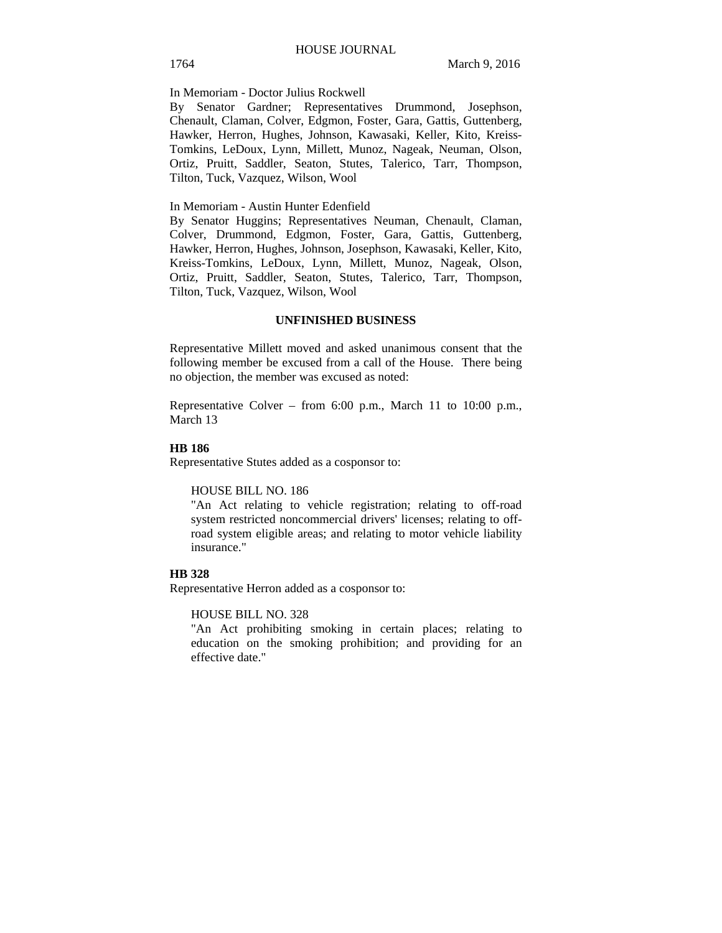In Memoriam - Doctor Julius Rockwell

By Senator Gardner; Representatives Drummond, Josephson, Chenault, Claman, Colver, Edgmon, Foster, Gara, Gattis, Guttenberg, Hawker, Herron, Hughes, Johnson, Kawasaki, Keller, Kito, Kreiss-Tomkins, LeDoux, Lynn, Millett, Munoz, Nageak, Neuman, Olson, Ortiz, Pruitt, Saddler, Seaton, Stutes, Talerico, Tarr, Thompson, Tilton, Tuck, Vazquez, Wilson, Wool

In Memoriam - Austin Hunter Edenfield

By Senator Huggins; Representatives Neuman, Chenault, Claman, Colver, Drummond, Edgmon, Foster, Gara, Gattis, Guttenberg, Hawker, Herron, Hughes, Johnson, Josephson, Kawasaki, Keller, Kito, Kreiss-Tomkins, LeDoux, Lynn, Millett, Munoz, Nageak, Olson, Ortiz, Pruitt, Saddler, Seaton, Stutes, Talerico, Tarr, Thompson, Tilton, Tuck, Vazquez, Wilson, Wool

### **UNFINISHED BUSINESS**

Representative Millett moved and asked unanimous consent that the following member be excused from a call of the House. There being no objection, the member was excused as noted:

Representative Colver – from 6:00 p.m., March 11 to 10:00 p.m., March 13

### **HB 186**

Representative Stutes added as a cosponsor to:

#### HOUSE BILL NO. 186

"An Act relating to vehicle registration; relating to off-road system restricted noncommercial drivers' licenses; relating to offroad system eligible areas; and relating to motor vehicle liability insurance."

### **HB 328**

Representative Herron added as a cosponsor to:

#### HOUSE BILL NO. 328

"An Act prohibiting smoking in certain places; relating to education on the smoking prohibition; and providing for an effective date."